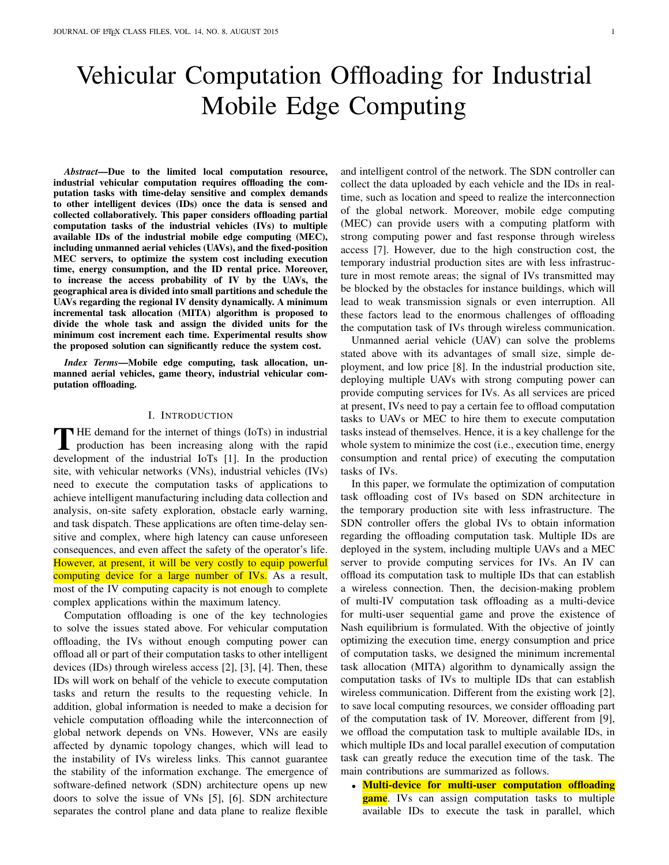# Vehicular Computation Offloading for Industrial Mobile Edge Computing

*Abstract*—Due to the limited local computation resource, industrial vehicular computation requires offloading the computation tasks with time-delay sensitive and complex demands to other intelligent devices (IDs) once the data is sensed and collected collaboratively. This paper considers offloading partial computation tasks of the industrial vehicles (IVs) to multiple available IDs of the industrial mobile edge computing (MEC), including unmanned aerial vehicles (UAVs), and the fixed-position MEC servers, to optimize the system cost including execution time, energy consumption, and the ID rental price. Moreover, to increase the access probability of IV by the UAVs, the geographical area is divided into small partitions and schedule the UAVs regarding the regional IV density dynamically. A minimum incremental task allocation (MITA) algorithm is proposed to divide the whole task and assign the divided units for the minimum cost increment each time. Experimental results show the proposed solution can significantly reduce the system cost.

*Index Terms*—Mobile edge computing, task allocation, unmanned aerial vehicles, game theory, industrial vehicular computation offloading.

## I. INTRODUCTION

THE demand for the internet of things (IoTs) in industrial<br>production has been increasing along with the rapid<br>durate method is industrial. Let's fill the the non-hasting production has been increasing along with the rapid development of the industrial IoTs [1]. In the production site, with vehicular networks (VNs), industrial vehicles (IVs) need to execute the computation tasks of applications to achieve intelligent manufacturing including data collection and analysis, on-site safety exploration, obstacle early warning, and task dispatch. These applications are often time-delay sensitive and complex, where high latency can cause unforeseen consequences, and even affect the safety of the operator's life. However, at present, it will be very costly to equip powerful computing device for a large number of IVs. As a result, most of the IV computing capacity is not enough to complete complex applications within the maximum latency.

Computation offloading is one of the key technologies to solve the issues stated above. For vehicular computation offloading, the IVs without enough computing power can offload all or part of their computation tasks to other intelligent devices (IDs) through wireless access [2], [3], [4]. Then, these IDs will work on behalf of the vehicle to execute computation tasks and return the results to the requesting vehicle. In addition, global information is needed to make a decision for vehicle computation offloading while the interconnection of global network depends on VNs. However, VNs are easily affected by dynamic topology changes, which will lead to the instability of IVs wireless links. This cannot guarantee the stability of the information exchange. The emergence of software-defined network (SDN) architecture opens up new doors to solve the issue of VNs [5], [6]. SDN architecture separates the control plane and data plane to realize flexible and intelligent control of the network. The SDN controller can collect the data uploaded by each vehicle and the IDs in realtime, such as location and speed to realize the interconnection of the global network. Moreover, mobile edge computing (MEC) can provide users with a computing platform with strong computing power and fast response through wireless access [7]. However, due to the high construction cost, the temporary industrial production sites are with less infrastructure in most remote areas; the signal of IVs transmitted may be blocked by the obstacles for instance buildings, which will lead to weak transmission signals or even interruption. All these factors lead to the enormous challenges of offloading the computation task of IVs through wireless communication.

Unmanned aerial vehicle (UAV) can solve the problems stated above with its advantages of small size, simple deployment, and low price [8]. In the industrial production site, deploying multiple UAVs with strong computing power can provide computing services for IVs. As all services are priced at present, IVs need to pay a certain fee to offload computation tasks to UAVs or MEC to hire them to execute computation tasks instead of themselves. Hence, it is a key challenge for the whole system to minimize the cost (i.e., execution time, energy consumption and rental price) of executing the computation tasks of IVs.

In this paper, we formulate the optimization of computation task offloading cost of IVs based on SDN architecture in the temporary production site with less infrastructure. The SDN controller offers the global IVs to obtain information regarding the offloading computation task. Multiple IDs are deployed in the system, including multiple UAVs and a MEC server to provide computing services for IVs. An IV can offload its computation task to multiple IDs that can establish a wireless connection. Then, the decision-making problem of multi-IV computation task offloading as a multi-device for multi-user sequential game and prove the existence of Nash equilibrium is formulated. With the objective of jointly optimizing the execution time, energy consumption and price of computation tasks, we designed the minimum incremental task allocation (MITA) algorithm to dynamically assign the computation tasks of IVs to multiple IDs that can establish wireless communication. Different from the existing work [2], to save local computing resources, we consider offloading part of the computation task of IV. Moreover, different from [9], we offload the computation task to multiple available IDs, in which multiple IDs and local parallel execution of computation task can greatly reduce the execution time of the task. The main contributions are summarized as follows.

• Multi-device for multi-user computation offloading **game**. IVs can assign computation tasks to multiple available IDs to execute the task in parallel, which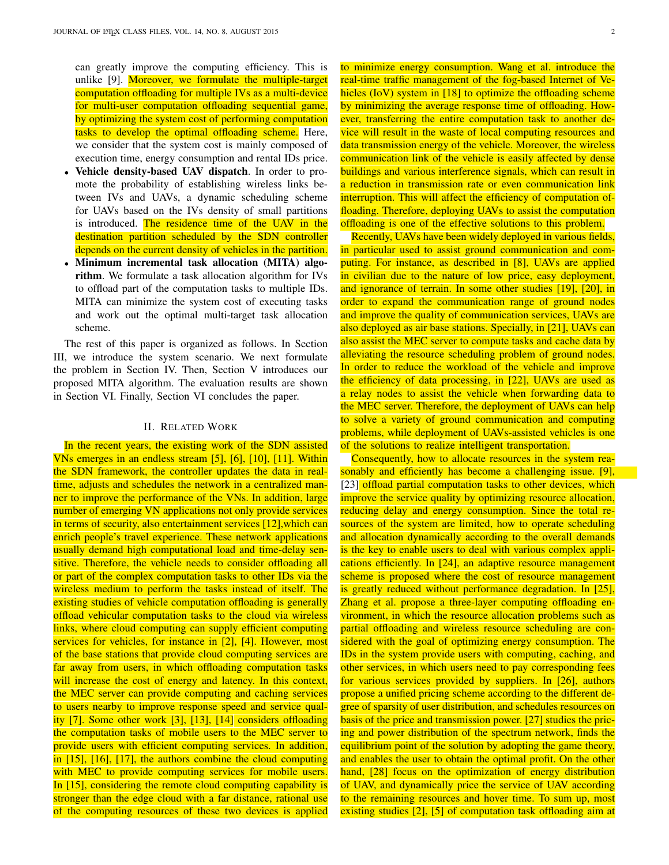can greatly improve the computing efficiency. This is unlike [9]. Moreover, we formulate the multiple-target computation offloading for multiple IVs as a multi-device for multi-user computation offloading sequential game, by optimizing the system cost of performing computation tasks to develop the optimal offloading scheme. Here, we consider that the system cost is mainly composed of execution time, energy consumption and rental IDs price.

- Vehicle density-based UAV dispatch. In order to promote the probability of establishing wireless links between IVs and UAVs, a dynamic scheduling scheme for UAVs based on the IVs density of small partitions is introduced. The residence time of the UAV in the destination partition scheduled by the SDN controller depends on the current density of vehicles in the partition.
- Minimum incremental task allocation (MITA) algorithm. We formulate a task allocation algorithm for IVs to offload part of the computation tasks to multiple IDs. MITA can minimize the system cost of executing tasks and work out the optimal multi-target task allocation scheme.

The rest of this paper is organized as follows. In Section III, we introduce the system scenario. We next formulate the problem in Section IV. Then, Section V introduces our proposed MITA algorithm. The evaluation results are shown in Section VI. Finally, Section VI concludes the paper.

## II. RELATED WORK

In the recent years, the existing work of the SDN assisted VNs emerges in an endless stream [5], [6], [10], [11]. Within the SDN framework, the controller updates the data in realtime, adjusts and schedules the network in a centralized manner to improve the performance of the VNs. In addition, large number of emerging VN applications not only provide services in terms of security, also entertainment services [12],which can enrich people's travel experience. These network applications usually demand high computational load and time-delay sensitive. Therefore, the vehicle needs to consider offloading all or part of the complex computation tasks to other IDs via the wireless medium to perform the tasks instead of itself. The existing studies of vehicle computation offloading is generally offload vehicular computation tasks to the cloud via wireless links, where cloud computing can supply efficient computing services for vehicles, for instance in [2], [4]. However, most of the base stations that provide cloud computing services are far away from users, in which offloading computation tasks will increase the cost of energy and latency. In this context, the MEC server can provide computing and caching services to users nearby to improve response speed and service quality [7]. Some other work [3], [13], [14] considers offloading the computation tasks of mobile users to the MEC server to provide users with efficient computing services. In addition, in [15], [16], [17], the authors combine the cloud computing with MEC to provide computing services for mobile users. In [15], considering the remote cloud computing capability is stronger than the edge cloud with a far distance, rational use of the computing resources of these two devices is applied

to minimize energy consumption. Wang et al. introduce the real-time traffic management of the fog-based Internet of Vehicles (IoV) system in [18] to optimize the offloading scheme by minimizing the average response time of offloading. However, transferring the entire computation task to another device will result in the waste of local computing resources and data transmission energy of the vehicle. Moreover, the wireless communication link of the vehicle is easily affected by dense buildings and various interference signals, which can result in a reduction in transmission rate or even communication link interruption. This will affect the efficiency of computation offloading. Therefore, deploying UAVs to assist the computation offloading is one of the effective solutions to this problem.

Recently, UAVs have been widely deployed in various fields, in particular used to assist ground communication and computing. For instance, as described in [8], UAVs are applied in civilian due to the nature of low price, easy deployment, and ignorance of terrain. In some other studies [19], [20], in order to expand the communication range of ground nodes and improve the quality of communication services, UAVs are also deployed as air base stations. Specially, in [21], UAVs can also assist the MEC server to compute tasks and cache data by alleviating the resource scheduling problem of ground nodes. In order to reduce the workload of the vehicle and improve the efficiency of data processing, in [22], UAVs are used as a relay nodes to assist the vehicle when forwarding data to the MEC server. Therefore, the deployment of UAVs can help to solve a variety of ground communication and computing problems, while deployment of UAVs-assisted vehicles is one of the solutions to realize intelligent transportation.

Consequently, how to allocate resources in the system reasonably and efficiently has become a challenging issue. [9], [23] offload partial computation tasks to other devices, which improve the service quality by optimizing resource allocation, reducing delay and energy consumption. Since the total resources of the system are limited, how to operate scheduling and allocation dynamically according to the overall demands is the key to enable users to deal with various complex applications efficiently. In [24], an adaptive resource management scheme is proposed where the cost of resource management is greatly reduced without performance degradation. In [25], Zhang et al. propose a three-layer computing offloading environment, in which the resource allocation problems such as partial offloading and wireless resource scheduling are considered with the goal of optimizing energy consumption. The IDs in the system provide users with computing, caching, and other services, in which users need to pay corresponding fees for various services provided by suppliers. In [26], authors propose a unified pricing scheme according to the different degree of sparsity of user distribution, and schedules resources on basis of the price and transmission power. [27] studies the pricing and power distribution of the spectrum network, finds the equilibrium point of the solution by adopting the game theory, and enables the user to obtain the optimal profit. On the other hand, [28] focus on the optimization of energy distribution of UAV, and dynamically price the service of UAV according to the remaining resources and hover time. To sum up, most existing studies [2], [5] of computation task offloading aim at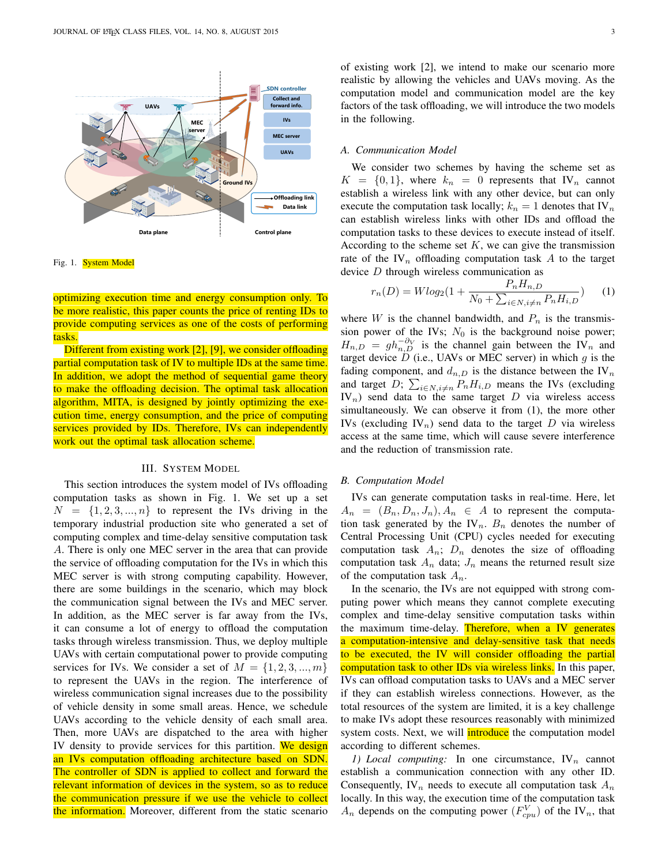

Fig. 1. **System Model** 

optimizing execution time and energy consumption only. To be more realistic, this paper counts the price of renting IDs to provide computing services as one of the costs of performing tasks.

Different from existing work [2], [9], we consider offloading partial computation task of IV to multiple IDs at the same time. In addition, we adopt the method of sequential game theory to make the offloading decision. The optimal task allocation algorithm, MITA, is designed by jointly optimizing the execution time, energy consumption, and the price of computing services provided by IDs. Therefore, IVs can independently work out the optimal task allocation scheme.

## III. SYSTEM MODEL

This section introduces the system model of IVs offloading computation tasks as shown in Fig. 1. We set up a set  $N = \{1, 2, 3, ..., n\}$  to represent the IVs driving in the temporary industrial production site who generated a set of computing complex and time-delay sensitive computation task A. There is only one MEC server in the area that can provide the service of offloading computation for the IVs in which this MEC server is with strong computing capability. However, there are some buildings in the scenario, which may block the communication signal between the IVs and MEC server. In addition, as the MEC server is far away from the IVs, it can consume a lot of energy to offload the computation tasks through wireless transmission. Thus, we deploy multiple UAVs with certain computational power to provide computing services for IVs. We consider a set of  $M = \{1, 2, 3, ..., m\}$ to represent the UAVs in the region. The interference of wireless communication signal increases due to the possibility of vehicle density in some small areas. Hence, we schedule UAVs according to the vehicle density of each small area. Then, more UAVs are dispatched to the area with higher IV density to provide services for this partition. We design an IVs computation offloading architecture based on SDN. The controller of SDN is applied to collect and forward the relevant information of devices in the system, so as to reduce the communication pressure if we use the vehicle to collect the information. Moreover, different from the static scenario of existing work [2], we intend to make our scenario more realistic by allowing the vehicles and UAVs moving. As the computation model and communication model are the key factors of the task offloading, we will introduce the two models in the following.

## *A. Communication Model*

We consider two schemes by having the scheme set as  $K = \{0, 1\}$ , where  $k_n = 0$  represents that IV<sub>n</sub> cannot establish a wireless link with any other device, but can only execute the computation task locally;  $k_n = 1$  denotes that IV<sub>n</sub> can establish wireless links with other IDs and offload the computation tasks to these devices to execute instead of itself. According to the scheme set  $K$ , we can give the transmission rate of the  $IV_n$  offloading computation task A to the target device D through wireless communication as

$$
r_n(D) = W \log_2(1 + \frac{P_n H_{n,D}}{N_0 + \sum_{i \in N, i \neq n} P_n H_{i,D}})
$$
 (1)

where W is the channel bandwidth, and  $P_n$  is the transmission power of the IVs;  $N_0$  is the background noise power;  $H_{n,D} = gh_{n,D}^{-\partial_V}$  is the channel gain between the IV<sub>n</sub> and target device  $\dot{D}$  (i.e., UAVs or MEC server) in which  $g$  is the fading component, and  $d_{n,D}$  is the distance between the IV<sub>n</sub> and target D;  $\sum_{i \in N, i \neq n} P_n H_{i,D}$  means the IVs (excluding  $IV_n$ ) send data to the same target D via wireless access simultaneously. We can observe it from (1), the more other IVs (excluding IV<sub>n</sub>) send data to the target D via wireless access at the same time, which will cause severe interference and the reduction of transmission rate.

#### *B. Computation Model*

IVs can generate computation tasks in real-time. Here, let  $A_n = (B_n, D_n, J_n), A_n \in A$  to represent the computation task generated by the IV<sub>n</sub>.  $B_n$  denotes the number of Central Processing Unit (CPU) cycles needed for executing computation task  $A_n$ ;  $D_n$  denotes the size of offloading computation task  $A_n$  data;  $J_n$  means the returned result size of the computation task  $A_n$ .

In the scenario, the IVs are not equipped with strong computing power which means they cannot complete executing complex and time-delay sensitive computation tasks within the maximum time-delay. Therefore, when a IV generates a computation-intensive and delay-sensitive task that needs to be executed, the IV will consider offloading the partial computation task to other IDs via wireless links. In this paper, IVs can offload computation tasks to UAVs and a MEC server if they can establish wireless connections. However, as the total resources of the system are limited, it is a key challenge to make IVs adopt these resources reasonably with minimized system costs. Next, we will *introduce* the computation model according to different schemes.

*1) Local computing:* In one circumstance,  $IV_n$  cannot establish a communication connection with any other ID. Consequently,  $\mathbf{IV}_n$  needs to execute all computation task  $A_n$ locally. In this way, the execution time of the computation task  $A_n$  depends on the computing power  $(F_{cpu}^V)$  of the IV<sub>n</sub>, that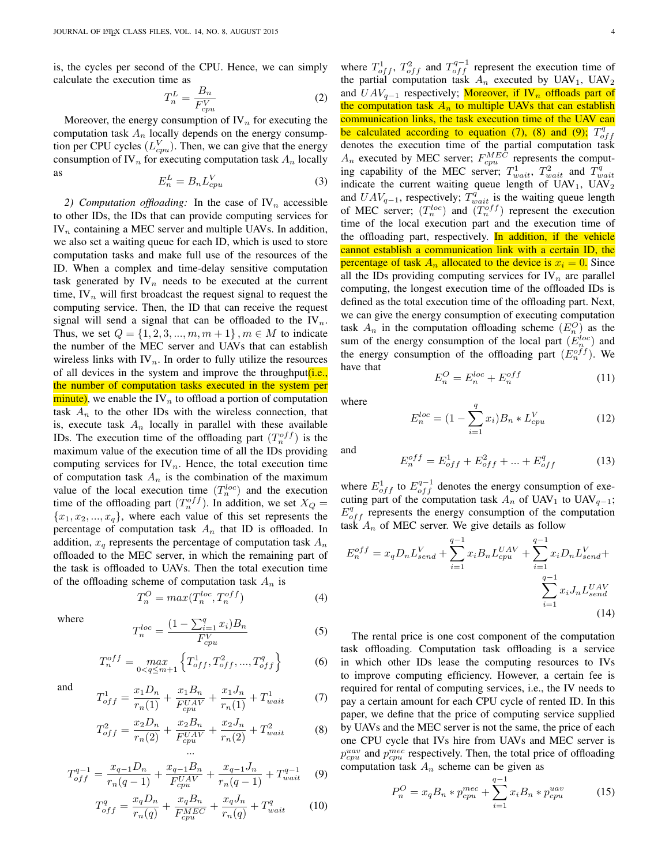is, the cycles per second of the CPU. Hence, we can simply calculate the execution time as

$$
T_n^L = \frac{B_n}{F_{cpu}^V} \tag{2}
$$

Moreover, the energy consumption of  $\mathbb{N}_n$  for executing the computation task  $A_n$  locally depends on the energy consumption per CPU cycles  $(L_{cpu}^V)$ . Then, we can give that the energy consumption of IV<sub>n</sub> for executing computation task  $A_n$  locally as

$$
E_n^L = B_n L_{cpu}^V \tag{3}
$$

2) Computation offloading: In the case of  $\mathbb{N}_n$  accessible to other IDs, the IDs that can provide computing services for  $IV_n$  containing a MEC server and multiple UAVs. In addition, we also set a waiting queue for each ID, which is used to store computation tasks and make full use of the resources of the ID. When a complex and time-delay sensitive computation task generated by  $\mathbb{IV}_n$  needs to be executed at the current time,  $\mathbf{IV}_n$  will first broadcast the request signal to request the computing service. Then, the ID that can receive the request signal will send a signal that can be offloaded to the  $IV_n$ . Thus, we set  $Q = \{1, 2, 3, ..., m, m + 1\}$ ,  $m \in M$  to indicate the number of the MEC server and UAVs that can establish wireless links with  $\mathbb{N}_n$ . In order to fully utilize the resources of all devices in the system and improve the throughput *(i.e.,* the number of computation tasks executed in the system per  $\frac{minute}{m}$ , we enable the IV<sub>n</sub> to offload a portion of computation task  $A_n$  to the other IDs with the wireless connection, that is, execute task  $A_n$  locally in parallel with these available IDs. The execution time of the offloading part  $(T_n^{off})$  is the maximum value of the execution time of all the IDs providing computing services for  $IV_n$ . Hence, the total execution time of computation task  $A_n$  is the combination of the maximum value of the local execution time  $(T_n^{loc})$  and the execution time of the offloading part  $(T_n^{off})$ . In addition, we set  $X_Q =$  ${x_1, x_2, ..., x_q}$ , where each value of this set represents the percentage of computation task  $A_n$  that ID is offloaded. In addition,  $x_q$  represents the percentage of computation task  $A_n$ offloaded to the MEC server, in which the remaining part of the task is offloaded to UAVs. Then the total execution time of the offloading scheme of computation task  $A_n$  is

$$
T_n^O = \max(T_n^{loc}, T_n^{off})
$$
\n(4)

 $\ldots$  $B$ 

where

$$
T_n^{loc} = \frac{(1 - \sum_{i=1}^q x_i)B_n}{F_{cpu}^V}
$$
 (5)

$$
T_n^{off} = \max_{0 < q \le m+1} \left\{ T_{off}^1, T_{off}^2, \dots, T_{off}^q \right\} \tag{6}
$$

 $\nabla^q$ 

and

$$
T_{off}^1 = \frac{x_1 D_n}{r_n(1)} + \frac{x_1 B_n}{F_{cpu}^{UAV}} + \frac{x_1 J_n}{r_n(1)} + T_{wait}^1 \tag{7}
$$

$$
T_{off}^2 = \frac{x_2 D_n}{r_n(2)} + \frac{x_2 B_n}{F_{cpu}^{UAV}} + \frac{x_2 J_n}{r_n(2)} + T_{wait}^2
$$
 (8)

$$
T_{off}^{q-1} = \frac{x_{q-1}D_n}{r_n(q-1)} + \frac{x_{q-1}B_n}{F_{cpu}^{UAV}} + \frac{x_{q-1}J_n}{r_n(q-1)} + T_{wait}^{q-1}
$$
 (9)

$$
T_{off}^{q} = \frac{x_q D_n}{r_n(q)} + \frac{x_q B_n}{F_{cpu}^{MEC}} + \frac{x_q J_n}{r_n(q)} + T_{wait}^{q}
$$
 (10)

where  $T_{off}^1$ ,  $T_{off}^2$  and  $T_{off}^{q-1}$  represent the execution time of the partial computation task  $A_n$  executed by UAV<sub>1</sub>, UAV<sub>2</sub> and  $UAV_{q-1}$  respectively; Moreover, if IV<sub>n</sub> offloads part of the computation task  $A_n$  to multiple UAVs that can establish communication links, the task execution time of the UAV can be calculated according to equation (7), (8) and (9);  $T_o^q$  $\frac{\partial C}{\partial t}$  calculated according to equation (*i*), (*b*) and (*b*),  $I_{off}$  denotes the execution time of the partial computation task  $A_n$  executed by MEC server;  $F_{cpu}^{MEC}$  represents the computing capability of the MEC server;  $T_{wait}^1$ ,  $T_{wait}^2$  and  $T_{wait}^q$ indicate the current waiting queue length of  $UAV_1$ ,  $UAV_2$ and  $UAV_{q-1}$ , respectively;  $T_{wait}^q$  is the waiting queue length of MEC server;  $(T_n^{loc})$  and  $(T_n^{off})$  represent the execution time of the local execution part and the execution time of the offloading part, respectively. In addition, if the vehicle cannot establish a communication link with a certain ID, the percentage of task  $A_n$  allocated to the device is  $x_i = 0$ . Since all the IDs providing computing services for  $\mathbb{N}_n$  are parallel computing, the longest execution time of the offloaded IDs is defined as the total execution time of the offloading part. Next, we can give the energy consumption of executing computation task  $A_n$  in the computation offloading scheme  $(E_n^O)$  as the sum of the energy consumption of the local part  $(E_n^{loc})$  and the energy consumption of the offloading part  $(E_n^{off})$ . We have that

$$
E_n^O = E_n^{loc} + E_n^{off} \tag{11}
$$

where

and

$$
E_n^{loc} = (1 - \sum_{i=1}^q x_i) B_n * L_{cpu}^V
$$
 (12)

$$
E_n^{off} = E_{off}^1 + E_{off}^2 + \dots + E_{off}^q \tag{13}
$$

where  $E_{off}^{1}$  to  $E_{off}^{q-1}$  denotes the energy consumption of executing part of the computation task  $A_n$  of UAV<sub>1</sub> to UAV<sub>q−1</sub>;  $E_{off}^{q}$  represents the energy consumption of the computation task  $A_n$  of MEC server. We give details as follow

$$
E_n^{off} = x_q D_n L_{send}^V + \sum_{i=1}^{q-1} x_i B_n L_{cpu}^{UAV} + \sum_{i=1}^{q-1} x_i D_n L_{send}^V + \sum_{i=1}^{q-1} x_i J_n L_{send}^{UAV} + \sum_{i=1}^{q-1} x_i J_n L_{send}^{UAV}
$$
\n(14)

The rental price is one cost component of the computation task offloading. Computation task offloading is a service in which other IDs lease the computing resources to IVs to improve computing efficiency. However, a certain fee is required for rental of computing services, i.e., the IV needs to pay a certain amount for each CPU cycle of rented ID. In this paper, we define that the price of computing service supplied by UAVs and the MEC server is not the same, the price of each one CPU cycle that IVs hire from UAVs and MEC server is  $p_{cpu}^{uav}$  and  $p_{cpu}^{mec}$  respectively. Then, the total price of offloading computation task  $A_n$  scheme can be given as

$$
P_n^O = x_q B_n * p_{cpu}^{mec} + \sum_{i=1}^{q-1} x_i B_n * p_{cpu}^{uav}
$$
 (15)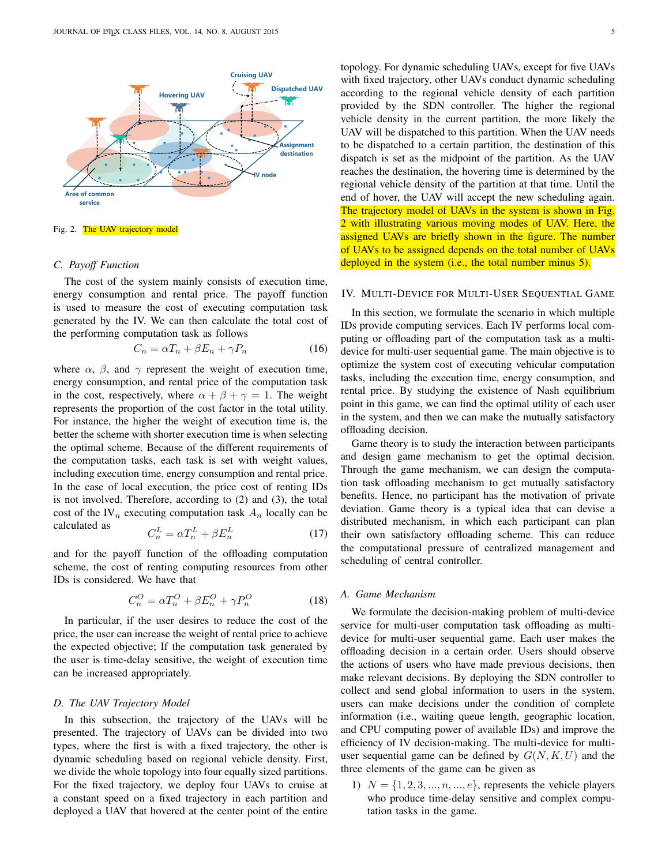

Fig. 2. The UAV trajectory model

## *C. Payoff Function*

The cost of the system mainly consists of execution time, energy consumption and rental price. The payoff function is used to measure the cost of executing computation task generated by the IV. We can then calculate the total cost of the performing computation task as follows

$$
C_n = \alpha T_n + \beta E_n + \gamma P_n \tag{16}
$$

where  $\alpha$ ,  $\beta$ , and  $\gamma$  represent the weight of execution time, energy consumption, and rental price of the computation task in the cost, respectively, where  $\alpha + \beta + \gamma = 1$ . The weight represents the proportion of the cost factor in the total utility. For instance, the higher the weight of execution time is, the better the scheme with shorter execution time is when selecting the optimal scheme. Because of the different requirements of the computation tasks, each task is set with weight values, including execution time, energy consumption and rental price. In the case of local execution, the price cost of renting IDs is not involved. Therefore, according to (2) and (3), the total cost of the IV<sub>n</sub> executing computation task  $A_n$  locally can be calculated as

$$
C_n^L = \alpha T_n^L + \beta E_n^L \tag{17}
$$

and for the payoff function of the offloading computation scheme, the cost of renting computing resources from other IDs is considered. We have that

$$
C_n^O = \alpha T_n^O + \beta E_n^O + \gamma P_n^O \tag{18}
$$

In particular, if the user desires to reduce the cost of the price, the user can increase the weight of rental price to achieve the expected objective; If the computation task generated by the user is time-delay sensitive, the weight of execution time can be increased appropriately.

## *D. The UAV Trajectory Model*

In this subsection, the trajectory of the UAVs will be presented. The trajectory of UAVs can be divided into two types, where the first is with a fixed trajectory, the other is dynamic scheduling based on regional vehicle density. First, we divide the whole topology into four equally sized partitions. For the fixed trajectory, we deploy four UAVs to cruise at a constant speed on a fixed trajectory in each partition and deployed a UAV that hovered at the center point of the entire topology. For dynamic scheduling UAVs, except for five UAVs with fixed trajectory, other UAVs conduct dynamic scheduling according to the regional vehicle density of each partition provided by the SDN controller. The higher the regional vehicle density in the current partition, the more likely the UAV will be dispatched to this partition. When the UAV needs to be dispatched to a certain partition, the destination of this dispatch is set as the midpoint of the partition. As the UAV reaches the destination, the hovering time is determined by the regional vehicle density of the partition at that time. Until the end of hover, the UAV will accept the new scheduling again. The trajectory model of UAVs in the system is shown in Fig. 2 with illustrating various moving modes of UAV. Here, the assigned UAVs are briefly shown in the figure. The number of UAVs to be assigned depends on the total number of UAVs deployed in the system (i.e., the total number minus 5).

## IV. MULTI-DEVICE FOR MULTI-USER SEQUENTIAL GAME

In this section, we formulate the scenario in which multiple IDs provide computing services. Each IV performs local computing or offloading part of the computation task as a multidevice for multi-user sequential game. The main objective is to optimize the system cost of executing vehicular computation tasks, including the execution time, energy consumption, and rental price. By studying the existence of Nash equilibrium point in this game, we can find the optimal utility of each user in the system, and then we can make the mutually satisfactory offloading decision.

Game theory is to study the interaction between participants and design game mechanism to get the optimal decision. Through the game mechanism, we can design the computation task offloading mechanism to get mutually satisfactory benefits. Hence, no participant has the motivation of private deviation. Game theory is a typical idea that can devise a distributed mechanism, in which each participant can plan their own satisfactory offloading scheme. This can reduce the computational pressure of centralized management and scheduling of central controller.

## *A. Game Mechanism*

We formulate the decision-making problem of multi-device service for multi-user computation task offloading as multidevice for multi-user sequential game. Each user makes the offloading decision in a certain order. Users should observe the actions of users who have made previous decisions, then make relevant decisions. By deploying the SDN controller to collect and send global information to users in the system, users can make decisions under the condition of complete information (i.e., waiting queue length, geographic location, and CPU computing power of available IDs) and improve the efficiency of IV decision-making. The multi-device for multiuser sequential game can be defined by  $G(N, K, U)$  and the three elements of the game can be given as

1)  $N = \{1, 2, 3, ..., n, ..., e\}$ , represents the vehicle players who produce time-delay sensitive and complex computation tasks in the game.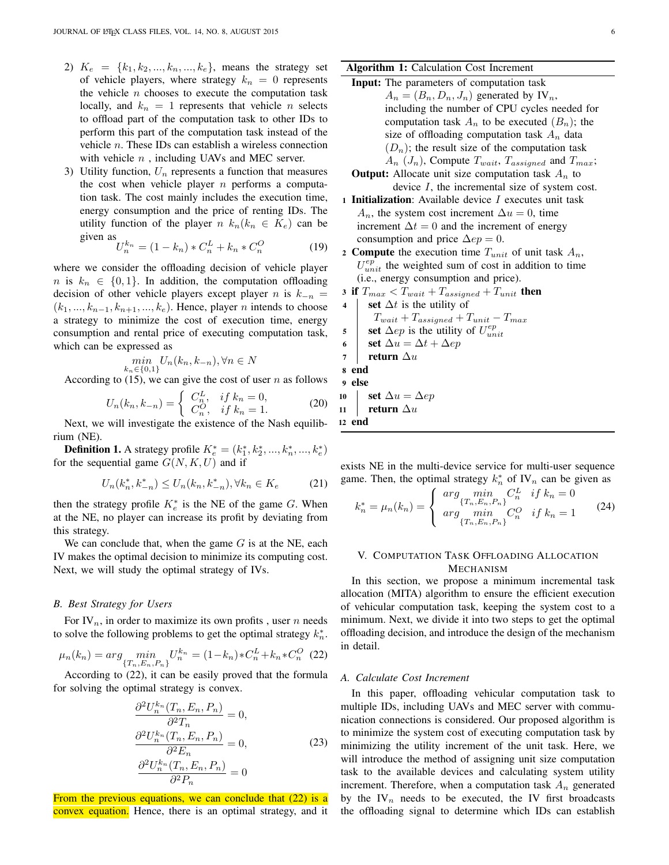- 2)  $K_e = \{k_1, k_2, ..., k_n, ..., k_e\}$ , means the strategy set of vehicle players, where strategy  $k_n = 0$  represents the vehicle  $n$  chooses to execute the computation task locally, and  $k_n = 1$  represents that vehicle n selects to offload part of the computation task to other IDs to perform this part of the computation task instead of the vehicle n. These IDs can establish a wireless connection with vehicle  $n$ , including UAVs and MEC server.
- 3) Utility function,  $U_n$  represents a function that measures the cost when vehicle player  $n$  performs a computation task. The cost mainly includes the execution time, energy consumption and the price of renting IDs. The utility function of the player  $n k_n(k_n \in K_e)$  can be given as

$$
U_n^{k_n} = (1 - k_n) * C_n^L + k_n * C_n^O
$$
 (19)

where we consider the offloading decision of vehicle player n is  $k_n \in \{0,1\}$ . In addition, the computation offloading decision of other vehicle players except player n is  $k_{-n}$  =  $(k_1, ..., k_{n-1}, k_{n+1}, ..., k_e)$ . Hence, player n intends to choose a strategy to minimize the cost of execution time, energy consumption and rental price of executing computation task, which can be expressed as

$$
\min_{k_n \in \{0,1\}} U_n(k_n, k_{-n}), \forall n \in N
$$

According to  $(15)$ , we can give the cost of user n as follows

$$
U_n(k_n, k_{-n}) = \begin{cases} C_n^L, & \text{if } k_n = 0, \\ C_n^O, & \text{if } k_n = 1. \end{cases}
$$
 (20)

Next, we will investigate the existence of the Nash equilibrium (NE).

**Definition 1.** A strategy profile  $K_e^* = (k_1^*, k_2^*, ..., k_n^*, ..., k_e^*)$ for the sequential game  $G(N, K, U)$  and if

$$
U_n(k_n^*, k_{-n}^*) \le U_n(k_n, k_{-n}^*), \forall k_n \in K_e \tag{21}
$$

then the strategy profile  $K_e^*$  is the NE of the game G. When at the NE, no player can increase its profit by deviating from this strategy.

We can conclude that, when the game  $G$  is at the NE, each IV makes the optimal decision to minimize its computing cost. Next, we will study the optimal strategy of IVs.

#### *B. Best Strategy for Users*

For IV<sub>n</sub>, in order to maximize its own profits, user *n* needs to solve the following problems to get the optimal strategy  $k_n^*$ .

$$
\mu_n(k_n) = \arg \min_{\{T_n, E_n, P_n\}} U_n^{k_n} = (1 - k_n) * C_n^L + k_n * C_n^O
$$
 (22)

According to (22), it can be easily proved that the formula for solving the optimal strategy is convex.

$$
\frac{\partial^2 U_n^{k_n}(T_n, E_n, P_n)}{\partial^2 T_n} = 0,
$$
  

$$
\frac{\partial^2 U_n^{k_n}(T_n, E_n, P_n)}{\partial^2 E_n} = 0,
$$
  

$$
\frac{\partial^2 U_n^{k_n}(T_n, E_n, P_n)}{\partial^2 P_n} = 0
$$
\n(23)

From the previous equations, we can conclude that (22) is a convex equation. Hence, there is an optimal strategy, and it Input: The parameters of computation task  $A_n = (B_n, D_n, J_n)$  generated by IV<sub>n</sub>, including the number of CPU cycles needed for computation task  $A_n$  to be executed  $(B_n)$ ; the size of offloading computation task  $A_n$  data  $(D_n)$ ; the result size of the computation task  $A_n$  ( $J_n$ ), Compute  $T_{wait}$ ,  $T_{assigned}$  and  $T_{max}$ ;

**Output:** Allocate unit size computation task 
$$
A_n
$$
 to  
device *I*, the incremental size of system cost.

- 1 **Initialization**: Available device  $I$  executes unit task  $A_n$ , the system cost increment  $\Delta u = 0$ , time increment  $\Delta t = 0$  and the increment of energy consumption and price  $\Delta ep = 0$ .
- 2 Compute the execution time  $T_{unit}$  of unit task  $A_n$ ,  $U_{unit}^{ep}$  the weighted sum of cost in addition to time (i.e., energy consumption and price).

3 if 
$$
T_{max} < T_{wait} + T_{assigned} + T_{unit}
$$
 then  
\n4 **set**  $\Delta t$  is the utility of  
\n $T_{wait} + T_{assigned} + T_{unit} - T_{max}$   
\n5 **set**  $\Delta ep$  is the utility of  $U_{unit}^{ep}$   
\n6 **set**  $\Delta u = \Delta t + \Delta ep$   
\n7 **return**  $\Delta u$   
\n8 **end**  
\n9 **else**  
\n10 **set**  $\Delta u = \Delta ep$ 

11 | return  $\Delta u$ 12 end

exists NE in the multi-device service for multi-user sequence game. Then, the optimal strategy  $k_n^*$  of IV<sub>n</sub> can be given as

$$
k_n^* = \mu_n(k_n) = \begin{cases} \arg \min_{\{T_n, E_n, P_n\}} C_n^L & \text{if } k_n = 0\\ \arg \min_{\{T_n, E_n, P_n\}} C_n^O & \text{if } k_n = 1 \end{cases}
$$
(24)

## V. COMPUTATION TASK OFFLOADING ALLOCATION MECHANISM

In this section, we propose a minimum incremental task allocation (MITA) algorithm to ensure the efficient execution of vehicular computation task, keeping the system cost to a minimum. Next, we divide it into two steps to get the optimal offloading decision, and introduce the design of the mechanism in detail.

### *A. Calculate Cost Increment*

In this paper, offloading vehicular computation task to multiple IDs, including UAVs and MEC server with communication connections is considered. Our proposed algorithm is to minimize the system cost of executing computation task by minimizing the utility increment of the unit task. Here, we will introduce the method of assigning unit size computation task to the available devices and calculating system utility increment. Therefore, when a computation task  $A_n$  generated by the  $\mathbb{N}_n$  needs to be executed, the IV first broadcasts the offloading signal to determine which IDs can establish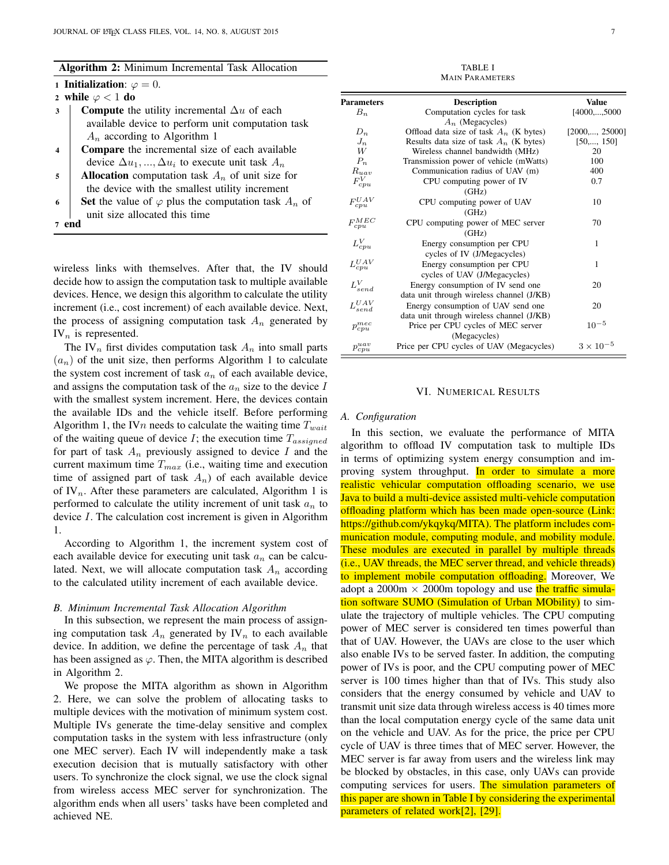1 Initialization:  $\varphi = 0$ .

|  |  | 2 while $\varphi$ < 1 do |  |  |  |  |  |
|--|--|--------------------------|--|--|--|--|--|
|--|--|--------------------------|--|--|--|--|--|

3 **Compute** the utility incremental  $\Delta u$  of each available device to perform unit computation task  $A_n$  according to Algorithm 1

4 Compare the incremental size of each available device  $\Delta u_1, ..., \Delta u_i$  to execute unit task  $A_n$ 

5 | Allocation computation task  $A_n$  of unit size for the device with the smallest utility increment

6 Set the value of  $\varphi$  plus the computation task  $A_n$  of unit size allocated this time

7 end

wireless links with themselves. After that, the IV should decide how to assign the computation task to multiple available devices. Hence, we design this algorithm to calculate the utility increment (i.e., cost increment) of each available device. Next, the process of assigning computation task  $A_n$  generated by  $IV_n$  is represented.

The IV<sub>n</sub> first divides computation task  $A_n$  into small parts  $(a_n)$  of the unit size, then performs Algorithm 1 to calculate the system cost increment of task  $a_n$  of each available device, and assigns the computation task of the  $a_n$  size to the device I with the smallest system increment. Here, the devices contain the available IDs and the vehicle itself. Before performing Algorithm 1, the IVn needs to calculate the waiting time  $T_{wait}$ of the waiting queue of device  $I$ ; the execution time  $T_{assigned}$ for part of task  $A_n$  previously assigned to device I and the current maximum time  $T_{max}$  (i.e., waiting time and execution time of assigned part of task  $A_n$ ) of each available device of IV<sub>n</sub>. After these parameters are calculated, Algorithm 1 is performed to calculate the utility increment of unit task  $a_n$  to device I. The calculation cost increment is given in Algorithm 1.

According to Algorithm 1, the increment system cost of each available device for executing unit task  $a_n$  can be calculated. Next, we will allocate computation task  $A_n$  according to the calculated utility increment of each available device.

## *B. Minimum Incremental Task Allocation Algorithm*

In this subsection, we represent the main process of assigning computation task  $A_n$  generated by IV<sub>n</sub> to each available device. In addition, we define the percentage of task  $A_n$  that has been assigned as  $\varphi$ . Then, the MITA algorithm is described in Algorithm 2.

We propose the MITA algorithm as shown in Algorithm 2. Here, we can solve the problem of allocating tasks to multiple devices with the motivation of minimum system cost. Multiple IVs generate the time-delay sensitive and complex computation tasks in the system with less infrastructure (only one MEC server). Each IV will independently make a task execution decision that is mutually satisfactory with other users. To synchronize the clock signal, we use the clock signal from wireless access MEC server for synchronization. The algorithm ends when all users' tasks have been completed and achieved NE.

TABLE I MAIN PARAMETERS

| <b>Parameters</b>   | <b>Description</b>                        | <b>Value</b>            |
|---------------------|-------------------------------------------|-------------------------|
| $B_n$               | Computation cycles for task               | [4000,,5000]            |
|                     | $A_n$ (Megacycles)                        |                         |
| $D_n$               | Offload data size of task $A_n$ (K bytes) | $[2000, \ldots, 25000]$ |
| $J_n$               | Results data size of task $A_n$ (K bytes) | $[50, \ldots, 150]$     |
| W                   | Wireless channel bandwidth (MHz)          | 20                      |
| $P_n$               | Transmission power of vehicle (mWatts)    | 100                     |
| $_{Ruav}$           | Communication radius of UAV (m)           | 400                     |
| $F_{cpu}^V$         | CPU computing power of IV                 | 0.7                     |
|                     | (GHz)                                     |                         |
| $F_{cpu}^{UAV}$     | CPU computing power of UAV                | 10                      |
|                     | (GHz)                                     |                         |
| $F_{cpu}^{MEC}$     | CPU computing power of MEC server         | 70                      |
|                     | (GHz)                                     |                         |
| $L_{cpu}^V$         | Energy consumption per CPU                | 1                       |
|                     | cycles of IV (J/Megacycles)               |                         |
| $L_{cpu}^{UAV}$     | Energy consumption per CPU                | 1                       |
|                     | cycles of UAV (J/Megacycles)              |                         |
| ${\cal L}_{send}^V$ | Energy consumption of IV send one         | 20                      |
|                     | data unit through wireless channel (J/KB) |                         |
| $L_{send}^{UAV}$    | Energy consumption of UAV send one        | 20                      |
|                     | data unit through wireless channel (J/KB) |                         |
| $p_{cpu}^{mec}$     | Price per CPU cycles of MEC server        | $10^{-5}$               |
|                     | (Megacycles)                              |                         |
| $p_{cpu}^{uav}$     | Price per CPU cycles of UAV (Megacycles)  | $3\times10^{-5}$        |

#### VI. NUMERICAL RESULTS

#### *A. Configuration*

In this section, we evaluate the performance of MITA algorithm to offload IV computation task to multiple IDs in terms of optimizing system energy consumption and improving system throughput. In order to simulate a more realistic vehicular computation offloading scenario, we use Java to build a multi-device assisted multi-vehicle computation offloading platform which has been made open-source (Link: https://github.com/ykqykq/MITA). The platform includes communication module, computing module, and mobility module. These modules are executed in parallel by multiple threads (i.e., UAV threads, the MEC server thread, and vehicle threads) to implement mobile computation offloading. Moreover, We adopt a 2000 $m \times 2000m$  topology and use the traffic simulation software SUMO (Simulation of Urban MObility) to simulate the trajectory of multiple vehicles. The CPU computing power of MEC server is considered ten times powerful than that of UAV. However, the UAVs are close to the user which also enable IVs to be served faster. In addition, the computing power of IVs is poor, and the CPU computing power of MEC server is 100 times higher than that of IVs. This study also considers that the energy consumed by vehicle and UAV to transmit unit size data through wireless access is 40 times more than the local computation energy cycle of the same data unit on the vehicle and UAV. As for the price, the price per CPU cycle of UAV is three times that of MEC server. However, the MEC server is far away from users and the wireless link may be blocked by obstacles, in this case, only UAVs can provide computing services for users. The simulation parameters of this paper are shown in Table I by considering the experimental parameters of related work[2], [29].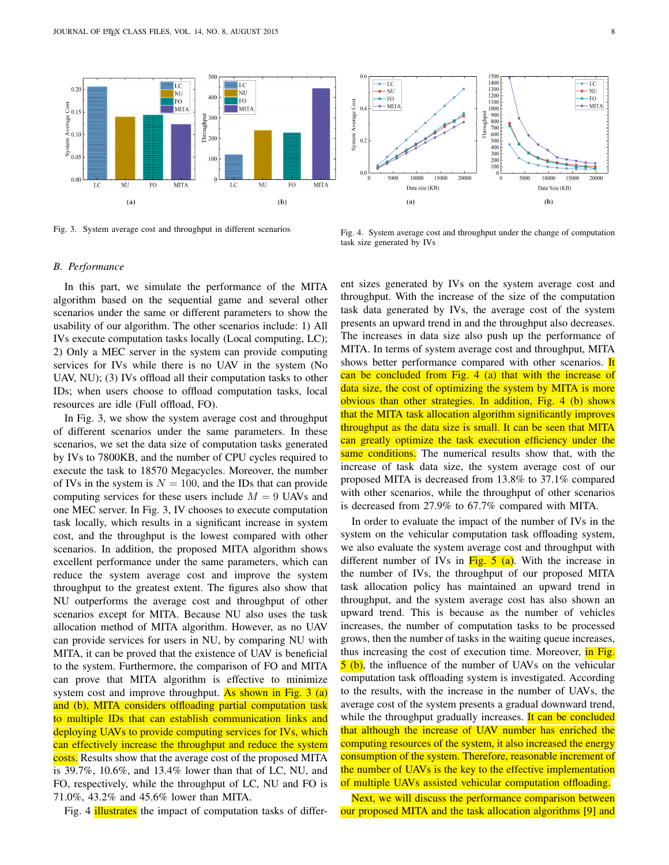

Fig. 3. System average cost and throughput in different scenarios



Fig. 4. System average cost and throughput under the change of computation task size generated by IVs

#### *B. Performance*

In this part, we simulate the performance of the MITA algorithm based on the sequential game and several other scenarios under the same or different parameters to show the usability of our algorithm. The other scenarios include: 1) All IVs execute computation tasks locally (Local computing, LC); 2) Only a MEC server in the system can provide computing services for IVs while there is no UAV in the system (No UAV, NU); (3) IVs offload all their computation tasks to other IDs; when users choose to offload computation tasks, local resources are idle (Full offload, FO).

In Fig. 3, we show the system average cost and throughput of different scenarios under the same parameters. In these scenarios, we set the data size of computation tasks generated by IVs to 7800KB, and the number of CPU cycles required to execute the task to 18570 Megacycles. Moreover, the number of IVs in the system is  $N = 100$ , and the IDs that can provide computing services for these users include  $M = 9$  UAVs and one MEC server. In Fig. 3, IV chooses to execute computation task locally, which results in a significant increase in system cost, and the throughput is the lowest compared with other scenarios. In addition, the proposed MITA algorithm shows excellent performance under the same parameters, which can reduce the system average cost and improve the system throughput to the greatest extent. The figures also show that NU outperforms the average cost and throughput of other scenarios except for MITA. Because NU also uses the task allocation method of MITA algorithm. However, as no UAV can provide services for users in NU, by comparing NU with MITA, it can be proved that the existence of UAV is beneficial to the system. Furthermore, the comparison of FO and MITA can prove that MITA algorithm is effective to minimize system cost and improve throughput. As shown in Fig.  $3$  (a) and (b), MITA considers offloading partial computation task to multiple IDs that can establish communication links and deploying UAVs to provide computing services for IVs, which can effectively increase the throughput and reduce the system costs. Results show that the average cost of the proposed MITA is 39.7%, 10.6%, and 13.4% lower than that of LC, NU, and FO, respectively, while the throughput of LC, NU and FO is 71.0%, 43.2% and 45.6% lower than MITA.

Fig. 4 **illustrates** the impact of computation tasks of differ-

ent sizes generated by IVs on the system average cost and throughput. With the increase of the size of the computation task data generated by IVs, the average cost of the system presents an upward trend in and the throughput also decreases. The increases in data size also push up the performance of MITA. In terms of system average cost and throughput, MITA shows better performance compared with other scenarios. It can be concluded from Fig. 4 (a) that with the increase of data size, the cost of optimizing the system by MITA is more obvious than other strategies. In addition, Fig. 4 (b) shows that the MITA task allocation algorithm significantly improves throughput as the data size is small. It can be seen that MITA can greatly optimize the task execution efficiency under the same conditions. The numerical results show that, with the increase of task data size, the system average cost of our proposed MITA is decreased from 13.8% to 37.1% compared with other scenarios, while the throughput of other scenarios is decreased from 27.9% to 67.7% compared with MITA.

In order to evaluate the impact of the number of IVs in the system on the vehicular computation task offloading system, we also evaluate the system average cost and throughput with different number of IVs in  $Fig. 5$  (a). With the increase in the number of IVs, the throughput of our proposed MITA task allocation policy has maintained an upward trend in throughput, and the system average cost has also shown an upward trend. This is because as the number of vehicles increases, the number of computation tasks to be processed grows, then the number of tasks in the waiting queue increases, thus increasing the cost of execution time. Moreover, in Fig. 5 (b), the influence of the number of UAVs on the vehicular computation task offloading system is investigated. According to the results, with the increase in the number of UAVs, the average cost of the system presents a gradual downward trend, while the throughput gradually increases. It can be concluded that although the increase of UAV number has enriched the computing resources of the system, it also increased the energy consumption of the system. Therefore, reasonable increment of the number of UAVs is the key to the effective implementation of multiple UAVs assisted vehicular computation offloading.

Next, we will discuss the performance comparison between our proposed MITA and the task allocation algorithms [9] and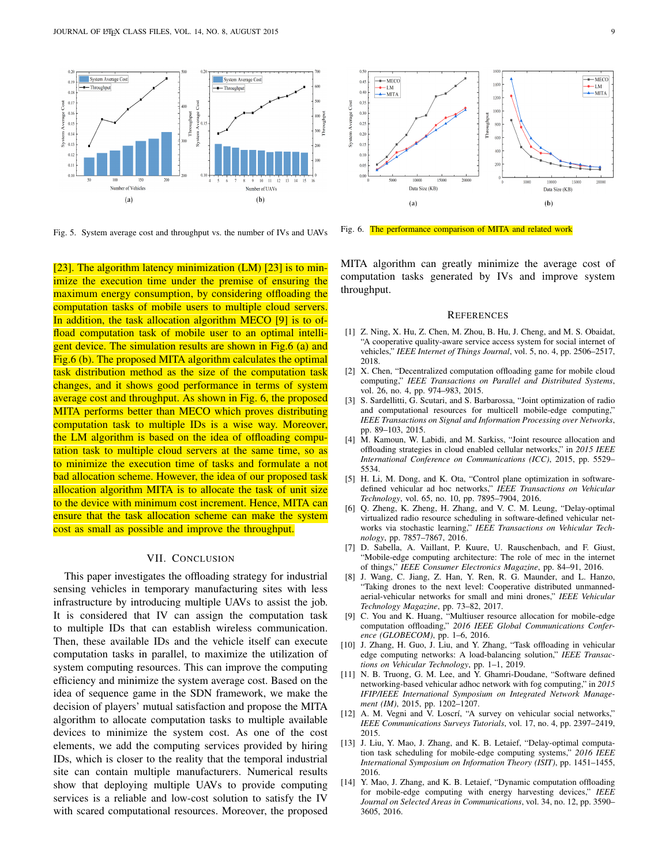

Fig. 5. System average cost and throughput vs. the number of IVs and UAVs

[23]. The algorithm latency minimization (LM) [23] is to minimize the execution time under the premise of ensuring the maximum energy consumption, by considering offloading the computation tasks of mobile users to multiple cloud servers. In addition, the task allocation algorithm MECO [9] is to offload computation task of mobile user to an optimal intelligent device. The simulation results are shown in Fig.6 (a) and Fig.6 (b). The proposed MITA algorithm calculates the optimal task distribution method as the size of the computation task changes, and it shows good performance in terms of system average cost and throughput. As shown in Fig. 6, the proposed MITA performs better than MECO which proves distributing computation task to multiple IDs is a wise way. Moreover, the LM algorithm is based on the idea of offloading computation task to multiple cloud servers at the same time, so as to minimize the execution time of tasks and formulate a not bad allocation scheme. However, the idea of our proposed task allocation algorithm MITA is to allocate the task of unit size to the device with minimum cost increment. Hence, MITA can ensure that the task allocation scheme can make the system cost as small as possible and improve the throughput.

## VII. CONCLUSION

This paper investigates the offloading strategy for industrial sensing vehicles in temporary manufacturing sites with less infrastructure by introducing multiple UAVs to assist the job. It is considered that IV can assign the computation task to multiple IDs that can establish wireless communication. Then, these available IDs and the vehicle itself can execute computation tasks in parallel, to maximize the utilization of system computing resources. This can improve the computing efficiency and minimize the system average cost. Based on the idea of sequence game in the SDN framework, we make the decision of players' mutual satisfaction and propose the MITA algorithm to allocate computation tasks to multiple available devices to minimize the system cost. As one of the cost elements, we add the computing services provided by hiring IDs, which is closer to the reality that the temporal industrial site can contain multiple manufacturers. Numerical results show that deploying multiple UAVs to provide computing services is a reliable and low-cost solution to satisfy the IV with scared computational resources. Moreover, the proposed



Fig. 6. The performance comparison of MITA and related work

MITA algorithm can greatly minimize the average cost of computation tasks generated by IVs and improve system throughput.

#### **REFERENCES**

- [1] Z. Ning, X. Hu, Z. Chen, M. Zhou, B. Hu, J. Cheng, and M. S. Obaidat, "A cooperative quality-aware service access system for social internet of vehicles," *IEEE Internet of Things Journal*, vol. 5, no. 4, pp. 2506–2517, 2018.
- [2] X. Chen, "Decentralized computation offloading game for mobile cloud computing," *IEEE Transactions on Parallel and Distributed Systems*, vol. 26, no. 4, pp. 974–983, 2015.
- [3] S. Sardellitti, G. Scutari, and S. Barbarossa, "Joint optimization of radio and computational resources for multicell mobile-edge computing," *IEEE Transactions on Signal and Information Processing over Networks*, pp. 89–103, 2015.
- [4] M. Kamoun, W. Labidi, and M. Sarkiss, "Joint resource allocation and offloading strategies in cloud enabled cellular networks," in *2015 IEEE International Conference on Communications (ICC)*, 2015, pp. 5529– 5534.
- [5] H. Li, M. Dong, and K. Ota, "Control plane optimization in softwaredefined vehicular ad hoc networks," *IEEE Transactions on Vehicular Technology*, vol. 65, no. 10, pp. 7895–7904, 2016.
- [6] Q. Zheng, K. Zheng, H. Zhang, and V. C. M. Leung, "Delay-optimal virtualized radio resource scheduling in software-defined vehicular networks via stochastic learning," *IEEE Transactions on Vehicular Technology*, pp. 7857–7867, 2016.
- [7] D. Sabella, A. Vaillant, P. Kuure, U. Rauschenbach, and F. Giust, "Mobile-edge computing architecture: The role of mec in the internet of things," *IEEE Consumer Electronics Magazine*, pp. 84–91, 2016.
- [8] J. Wang, C. Jiang, Z. Han, Y. Ren, R. G. Maunder, and L. Hanzo, "Taking drones to the next level: Cooperative distributed unmannedaerial-vehicular networks for small and mini drones," *IEEE Vehicular Technology Magazine*, pp. 73–82, 2017.
- [9] C. You and K. Huang, "Multiuser resource allocation for mobile-edge computation offloading," *2016 IEEE Global Communications Conference (GLOBECOM)*, pp. 1–6, 2016.
- [10] J. Zhang, H. Guo, J. Liu, and Y. Zhang, "Task offloading in vehicular edge computing networks: A load-balancing solution," *IEEE Transactions on Vehicular Technology*, pp. 1–1, 2019.
- [11] N. B. Truong, G. M. Lee, and Y. Ghamri-Doudane, "Software defined networking-based vehicular adhoc network with fog computing," in *2015 IFIP/IEEE International Symposium on Integrated Network Management (IM)*, 2015, pp. 1202–1207.
- [12] A. M. Vegni and V. Loscrí, "A survey on vehicular social networks," *IEEE Communications Surveys Tutorials*, vol. 17, no. 4, pp. 2397–2419, 2015.
- [13] J. Liu, Y. Mao, J. Zhang, and K. B. Letaief, "Delay-optimal computation task scheduling for mobile-edge computing systems," *2016 IEEE International Symposium on Information Theory (ISIT)*, pp. 1451–1455, 2016.
- [14] Y. Mao, J. Zhang, and K. B. Letaief, "Dynamic computation offloading for mobile-edge computing with energy harvesting devices," *IEEE Journal on Selected Areas in Communications*, vol. 34, no. 12, pp. 3590– 3605, 2016.